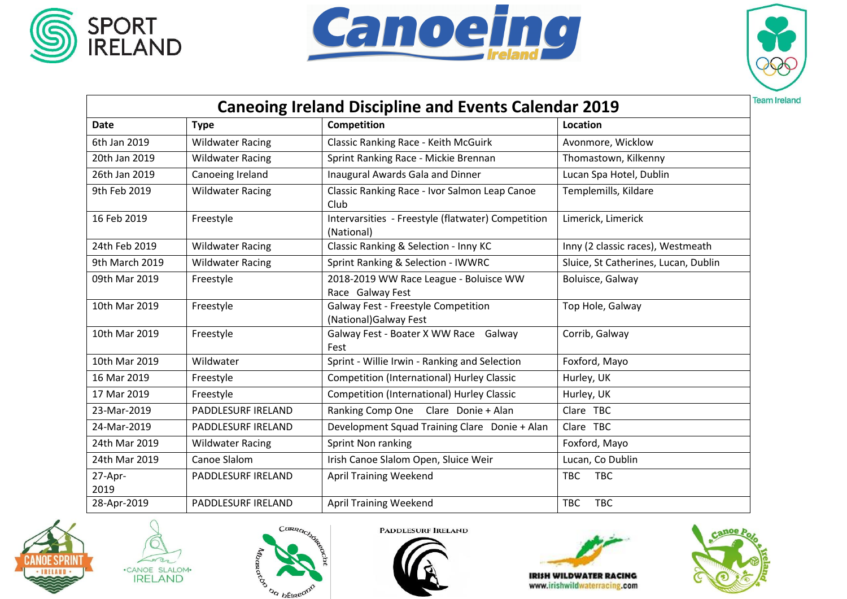





| <b>Caneoing Ireland Discipline and Events Calendar 2019</b> |                         |                                                                  |                                      |  |  |  |
|-------------------------------------------------------------|-------------------------|------------------------------------------------------------------|--------------------------------------|--|--|--|
| <b>Date</b>                                                 | <b>Type</b>             | Competition                                                      | Location                             |  |  |  |
| 6th Jan 2019                                                | <b>Wildwater Racing</b> | <b>Classic Ranking Race - Keith McGuirk</b>                      | Avonmore, Wicklow                    |  |  |  |
| 20th Jan 2019                                               | <b>Wildwater Racing</b> | Sprint Ranking Race - Mickie Brennan                             | Thomastown, Kilkenny                 |  |  |  |
| 26th Jan 2019                                               | Canoeing Ireland        | Inaugural Awards Gala and Dinner                                 | Lucan Spa Hotel, Dublin              |  |  |  |
| 9th Feb 2019                                                | <b>Wildwater Racing</b> | Classic Ranking Race - Ivor Salmon Leap Canoe<br>Club            | Templemills, Kildare                 |  |  |  |
| 16 Feb 2019                                                 | Freestyle               | Intervarsities - Freestyle (flatwater) Competition<br>(National) | Limerick, Limerick                   |  |  |  |
| 24th Feb 2019                                               | <b>Wildwater Racing</b> | Classic Ranking & Selection - Inny KC                            | Inny (2 classic races), Westmeath    |  |  |  |
| 9th March 2019                                              | <b>Wildwater Racing</b> | Sprint Ranking & Selection - IWWRC                               | Sluice, St Catherines, Lucan, Dublin |  |  |  |
| 09th Mar 2019                                               | Freestyle               | 2018-2019 WW Race League - Boluisce WW<br>Race Galway Fest       | Boluisce, Galway                     |  |  |  |
| 10th Mar 2019                                               | Freestyle               | Galway Fest - Freestyle Competition<br>(National) Galway Fest    | Top Hole, Galway                     |  |  |  |
| 10th Mar 2019                                               | Freestyle               | Galway Fest - Boater X WW Race Galway<br>Fest                    | Corrib, Galway                       |  |  |  |
| 10th Mar 2019                                               | Wildwater               | Sprint - Willie Irwin - Ranking and Selection                    | Foxford, Mayo                        |  |  |  |
| 16 Mar 2019                                                 | Freestyle               | <b>Competition (International) Hurley Classic</b>                | Hurley, UK                           |  |  |  |
| 17 Mar 2019                                                 | Freestyle               | <b>Competition (International) Hurley Classic</b>                | Hurley, UK                           |  |  |  |
| 23-Mar-2019                                                 | PADDLESURF IRELAND      | Ranking Comp One Clare Donie + Alan                              | Clare TBC                            |  |  |  |
| 24-Mar-2019                                                 | PADDLESURF IRELAND      | Development Squad Training Clare Donie + Alan                    | Clare TBC                            |  |  |  |
| 24th Mar 2019                                               | <b>Wildwater Racing</b> | Sprint Non ranking                                               | Foxford, Mayo                        |  |  |  |
| 24th Mar 2019                                               | Canoe Slalom            | Irish Canoe Slalom Open, Sluice Weir                             | Lucan, Co Dublin                     |  |  |  |
| 27-Apr-<br>2019                                             | PADDLESURF IRELAND      | <b>April Training Weekend</b>                                    | <b>TBC</b><br><b>TBC</b>             |  |  |  |
| 28-Apr-2019                                                 | PADDLESURF IRELAND      | <b>April Training Weekend</b>                                    | <b>TBC</b><br><b>TBC</b>             |  |  |  |







**PADDLESURF IRELAND** 





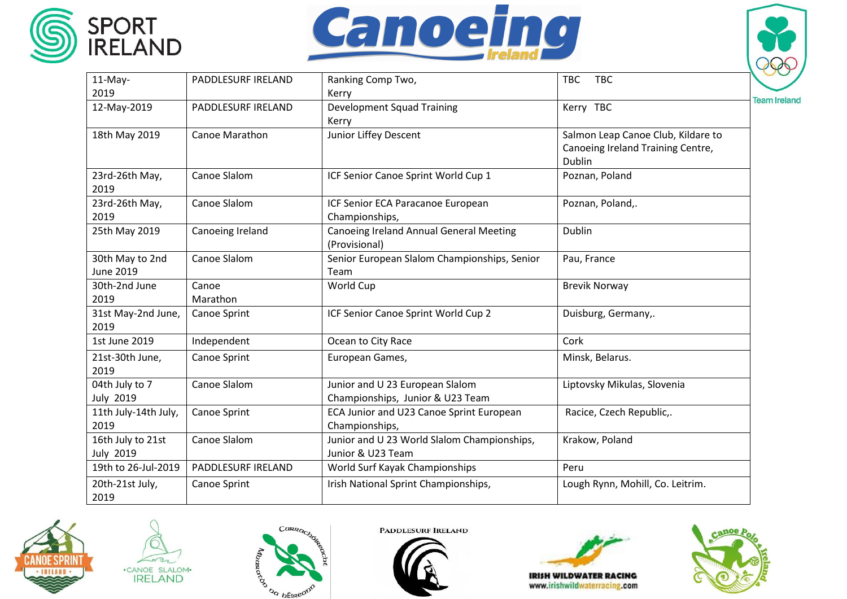





| $11-May-$                             | PADDLESURF IRELAND  | Ranking Comp Two,                                                   | <b>TBC</b><br><b>TBC</b>                                                          |                     |
|---------------------------------------|---------------------|---------------------------------------------------------------------|-----------------------------------------------------------------------------------|---------------------|
| 2019                                  |                     | Kerry                                                               |                                                                                   |                     |
| 12-May-2019                           | PADDLESURF IRELAND  | <b>Development Squad Training</b><br>Kerry                          | Kerry TBC                                                                         | <b>Team Ireland</b> |
| 18th May 2019                         | Canoe Marathon      | Junior Liffey Descent                                               | Salmon Leap Canoe Club, Kildare to<br>Canoeing Ireland Training Centre,<br>Dublin |                     |
| 23rd-26th May,<br>2019                | Canoe Slalom        | ICF Senior Canoe Sprint World Cup 1                                 | Poznan, Poland                                                                    |                     |
| 23rd-26th May,<br>2019                | Canoe Slalom        | ICF Senior ECA Paracanoe European<br>Championships,                 | Poznan, Poland,.                                                                  |                     |
| 25th May 2019                         | Canoeing Ireland    | <b>Canoeing Ireland Annual General Meeting</b><br>(Provisional)     | Dublin                                                                            |                     |
| 30th May to 2nd<br><b>June 2019</b>   | Canoe Slalom        | Senior European Slalom Championships, Senior<br>Team                | Pau, France                                                                       |                     |
| 30th-2nd June<br>2019                 | Canoe<br>Marathon   | World Cup                                                           | <b>Brevik Norway</b>                                                              |                     |
| 31st May-2nd June,<br>2019            | <b>Canoe Sprint</b> | ICF Senior Canoe Sprint World Cup 2                                 | Duisburg, Germany,.                                                               |                     |
| 1st June 2019                         | Independent         | Ocean to City Race                                                  | Cork                                                                              |                     |
| 21st-30th June,<br>2019               | Canoe Sprint        | European Games,                                                     | Minsk, Belarus.                                                                   |                     |
| 04th July to 7<br><b>July 2019</b>    | Canoe Slalom        | Junior and U 23 European Slalom<br>Championships, Junior & U23 Team | Liptovsky Mikulas, Slovenia                                                       |                     |
| 11th July-14th July,<br>2019          | Canoe Sprint        | ECA Junior and U23 Canoe Sprint European<br>Championships,          | Racice, Czech Republic,.                                                          |                     |
| 16th July to 21st<br><b>July 2019</b> | Canoe Slalom        | Junior and U 23 World Slalom Championships,<br>Junior & U23 Team    | Krakow, Poland                                                                    |                     |
| 19th to 26-Jul-2019                   | PADDLESURF IRELAND  | World Surf Kayak Championships                                      | Peru                                                                              |                     |
| 20th-21st July,<br>2019               | Canoe Sprint        | Irish National Sprint Championships,                                | Lough Rynn, Mohill, Co. Leitrim.                                                  |                     |







**PADDLESURF IRELAND**